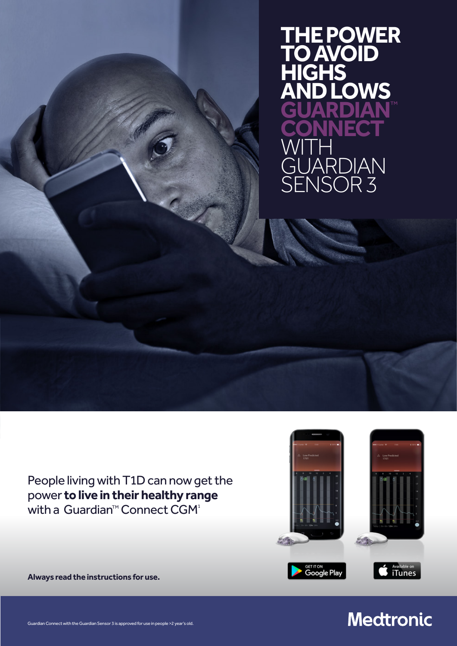**THE POWER TO AVOID HIGH**<br>AND **AND LOWS GUARDIAN**™ **CONNECT**  WITH<sub></sub> RDIAN NSOR<sub>3</sub>

People living with T1D can now get the power **to live in their healthy range**  with a Guardian<sup>TM</sup> Connect CGM<sup>1</sup>





<sub>get it on</sub><br>Google Play

Available on<br>iTunes

Guardian Connect with the Guardian Sensor 3 is approved for use in people >2 year's old.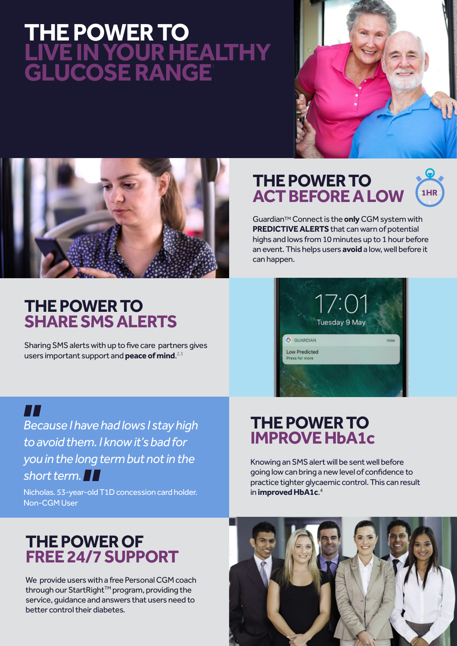# **THE POWER TO LIVE IN YOUR HEALTHY GLUCOSE RANGE**<sup>1</sup>





## **THE POWER TO SHARESMS ALERTS**

Sharing SMS alerts with up to five care partners gives users important support and **peace of mind**. 2,3

# **THE POWER TO ACT BEFORE A LOW**



GuardianTM Connect is the **only** CGM system with **PREDICTIVE ALERTS** that can warn of potential highs and lows from 10 minutes up to 1 hour before an event. This helps users **avoid** a low, well before it can happen.



*Because I have had lows I stay high to avoid them. I know it's bad for you in the long term but not in the*  **T**<br>Bed<br>to:

## *short term.*<br>Nicholas. 53-year-old<br>Non-CGM User Nicholas. 53-year-old T1D concession card holder. Non-CGM User

# **THE POWER TO IMPROVE HbA1c**

Knowing an SMS alert will be sent well before going low can bring a new level of confidence to practice tighter glycaemic control. This can result in **improved HbA1c**. 4

## **THE POWER OF FREE 24/7 SUPPORT**

We provide users with a free Personal CGM coach through our StartRight<sup>™</sup> program, providing the service, guidance and answers that users need to better control their diabetes.

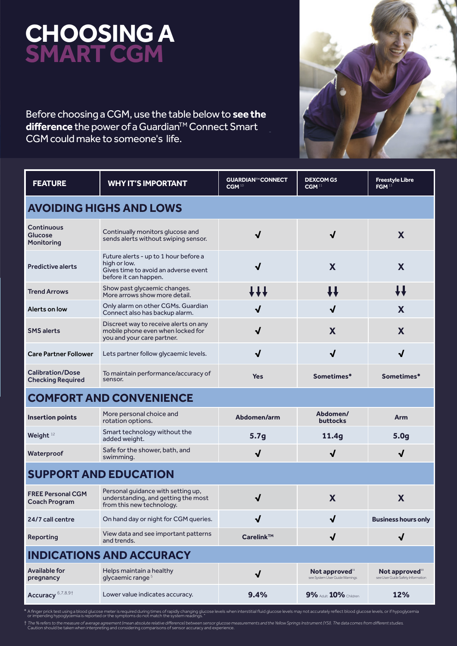# **CHOOSING A SMART CGM**

Before choosing a CGM, use the table below to **see the**  difference the power of a Guardian<sup>™</sup> Connect Smart CGM could make to someone's life.



| <b>FEATURE</b>                                      | <b>WHY IT'S IMPORTANT</b>                                                                                              | <b>GUARDIAN™CONNECT</b><br>CGM <sup>10</sup> | <b>DEXCOM G5</b><br>CGM <sup>11</sup>           | <b>Freestyle Libre</b><br>FGM <sup>13</sup>                      |  |
|-----------------------------------------------------|------------------------------------------------------------------------------------------------------------------------|----------------------------------------------|-------------------------------------------------|------------------------------------------------------------------|--|
| <b>AVOIDING HIGHS AND LOWS</b>                      |                                                                                                                        |                                              |                                                 |                                                                  |  |
| Continuous<br><b>Glucose</b><br>Monitoring          | Continually monitors glucose and<br>sends alerts without swiping sensor.                                               | $\sqrt{ }$                                   | $\sqrt{ }$                                      | X                                                                |  |
| <b>Predictive alerts</b>                            | Future alerts - up to 1 hour before a<br>high or low.<br>Gives time to avoid an adverse event<br>before it can happen. | $\checkmark$                                 | X                                               | X                                                                |  |
| <b>Trend Arrows</b>                                 | Show past glycaemic changes.<br>More arrows show more detail.                                                          | 111                                          | IJ                                              | ₩                                                                |  |
| Alerts on low                                       | Only alarm on other CGMs. Guardian<br>Connect also has backup alarm.                                                   | J                                            | √                                               | X                                                                |  |
| <b>SMS</b> alerts                                   | Discreet way to receive alerts on any<br>mobile phone even when locked for<br>you and your care partner.               | $\sqrt{ }$                                   | X                                               | X                                                                |  |
| <b>Care Partner Follower</b>                        | Lets partner follow glycaemic levels.                                                                                  | $\checkmark$                                 | $\checkmark$                                    | √                                                                |  |
| <b>Calibration/Dose</b><br><b>Checking Required</b> | To maintain performance/accuracy of<br>sensor.                                                                         | <b>Yes</b>                                   | Sometimes*                                      | Sometimes*                                                       |  |
| <b>COMFORT AND CONVENIENCE</b>                      |                                                                                                                        |                                              |                                                 |                                                                  |  |
| <b>Insertion points</b>                             | More personal choice and<br>rotation options.                                                                          | Abdomen/arm                                  | Abdomen/<br><b>buttocks</b>                     | Arm                                                              |  |
| Weight $12$                                         | Smart technology without the<br>added weight.                                                                          | 5.7g                                         | 11.4g                                           | 5.0 <sub>g</sub>                                                 |  |
| Waterproof                                          | Safe for the shower, bath, and<br>swimming.                                                                            | $\sqrt{2}$                                   | $\sqrt{2}$                                      | $\checkmark$                                                     |  |
| <b>SUPPORT AND EDUCATION</b>                        |                                                                                                                        |                                              |                                                 |                                                                  |  |
| <b>FREE Personal CGM</b><br><b>Coach Program</b>    | Personal guidance with setting up,<br>understanding, and getting the most<br>from this new technology.                 | $\checkmark$                                 | X                                               | X                                                                |  |
| 24/7 call centre                                    | On hand day or night for CGM queries.                                                                                  | J                                            | V                                               | <b>Business hours only</b>                                       |  |
| Reporting                                           | View data and see important patterns<br>and trends.                                                                    | $Carelink^{TM}$                              | √                                               | $\checkmark$                                                     |  |
| <b>INDICATIONS AND ACCURACY</b>                     |                                                                                                                        |                                              |                                                 |                                                                  |  |
| Available for<br>pregnancy                          | Helps maintain a healthy<br>glycaemic range <sup>5</sup>                                                               | $\checkmark$                                 | Not approved"<br>see System User Guide Warnings | Not approved $^{\text{13}}$<br>see User Guide Safety Information |  |
| Accuracy <sup>6,7,8,9†</sup>                        | Lower value indicates accuracy.                                                                                        | 9.4%                                         | <b>9% Adult 10% Children</b>                    | 12%                                                              |  |

\* A finger prick test using a blood glucose meter is required during times of rapidly changing glucose levels when interstitial fluid glucose levels may not accurately reflect blood glucose levels, or if hypoglycemia<br>or im

† The % refers to the measure of average agreement (mean absolute relative difference) between sensor glucose measurements and the Yellow Springs Instrument (YSI). The data comes from different studies<br>Caution should be ta